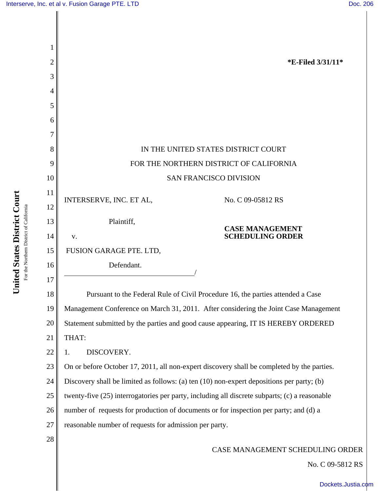| $\overline{c}$ | <b>*E-Filed 3/31/11*</b>                                                                      |
|----------------|-----------------------------------------------------------------------------------------------|
| 3              |                                                                                               |
| 4              |                                                                                               |
| 5              |                                                                                               |
| 6              |                                                                                               |
| 7              |                                                                                               |
| 8              | IN THE UNITED STATES DISTRICT COURT                                                           |
| 9              | FOR THE NORTHERN DISTRICT OF CALIFORNIA                                                       |
| 10             | <b>SAN FRANCISCO DIVISION</b>                                                                 |
| 11             | INTERSERVE, INC. ET AL,<br>No. C 09-05812 RS                                                  |
| 12             |                                                                                               |
| 13             | Plaintiff,<br><b>CASE MANAGEMENT</b>                                                          |
| 14             | <b>SCHEDULING ORDER</b><br>V.                                                                 |
| 15             | FUSION GARAGE PTE. LTD,                                                                       |
| 16             | Defendant.                                                                                    |
| 17             |                                                                                               |
| 18             | Pursuant to the Federal Rule of Civil Procedure 16, the parties attended a Case               |
| 19             | Management Conference on March 31, 2011. After considering the Joint Case Management          |
| 20             | Statement submitted by the parties and good cause appearing, IT IS HEREBY ORDERED             |
| 21             | THAT:                                                                                         |
| 22             | DISCOVERY.<br>1.                                                                              |
| 23             | On or before October 17, 2011, all non-expert discovery shall be completed by the parties.    |
| 24             | Discovery shall be limited as follows: (a) ten (10) non-expert depositions per party; (b)     |
| 25             | twenty-five (25) interrogatories per party, including all discrete subparts; (c) a reasonable |
| 26             | number of requests for production of documents or for inspection per party; and (d) a         |
| 27             | reasonable number of requests for admission per party.                                        |
| 28             |                                                                                               |
|                | CASE MANAGEMENT SCHEDULING ORDER                                                              |
|                | No. C 09-5812 RS                                                                              |

United States District Court **United States District Court** For the Northern District of California For the Northern District of California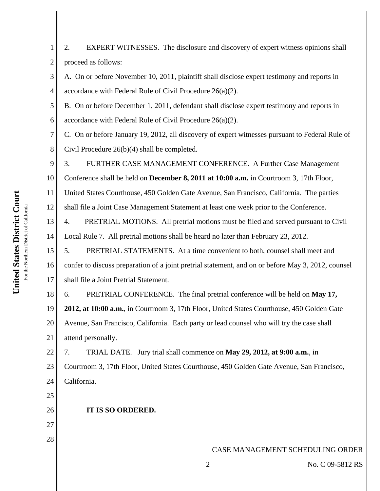2 3 4 5 6 7 8 9 10 11 12 13 14 15 16 17 18 19 20 21 22 23 24 25 26 27 28 CASE MANAGEMENT SCHEDULING ORDER 2 No. C 09-5812 RS proceed as follows: A. On or before November 10, 2011, plaintiff shall disclose expert testimony and reports in accordance with Federal Rule of Civil Procedure 26(a)(2). B. On or before December 1, 2011, defendant shall disclose expert testimony and reports in accordance with Federal Rule of Civil Procedure 26(a)(2). C. On or before January 19, 2012, all discovery of expert witnesses pursuant to Federal Rule of Civil Procedure 26(b)(4) shall be completed. 3. FURTHER CASE MANAGEMENT CONFERENCE. A Further Case Management Conference shall be held on **December 8, 2011 at 10:00 a.m.** in Courtroom 3, 17th Floor, United States Courthouse, 450 Golden Gate Avenue, San Francisco, California. The parties shall file a Joint Case Management Statement at least one week prior to the Conference. 4. PRETRIAL MOTIONS. All pretrial motions must be filed and served pursuant to Civil Local Rule 7. All pretrial motions shall be heard no later than February 23, 2012. 5. PRETRIAL STATEMENTS. At a time convenient to both, counsel shall meet and confer to discuss preparation of a joint pretrial statement, and on or before May 3, 2012, counsel shall file a Joint Pretrial Statement. 6. PRETRIAL CONFERENCE. The final pretrial conference will be held on **May 17, 2012, at 10:00 a.m.**, in Courtroom 3, 17th Floor, United States Courthouse, 450 Golden Gate Avenue, San Francisco, California. Each party or lead counsel who will try the case shall attend personally. 7. TRIAL DATE. Jury trial shall commence on **May 29, 2012, at 9:00 a.m.**, in Courtroom 3, 17th Floor, United States Courthouse, 450 Golden Gate Avenue, San Francisco, California. **IT IS SO ORDERED.**

2. EXPERT WITNESSES. The disclosure and discovery of expert witness opinions shall

1